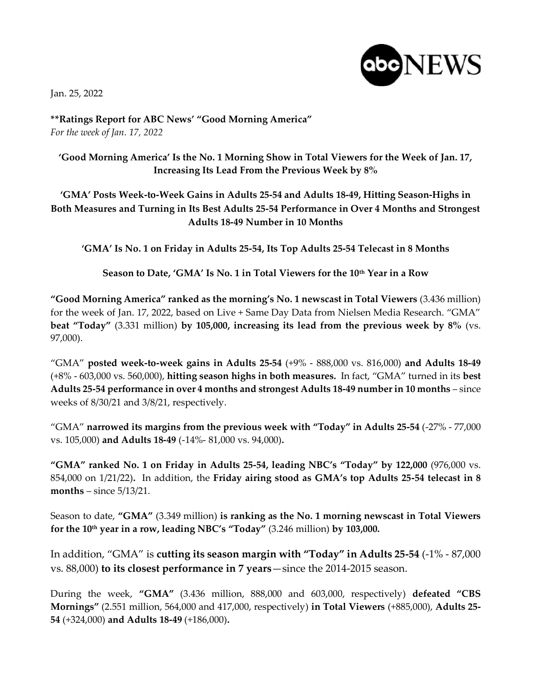Jan. 25, 2022



**\*\*Ratings Report for ABC News' "Good Morning America"** *For the week of Jan. 17, 2022*

## **'Good Morning America' Is the No. 1 Morning Show in Total Viewers for the Week of Jan. 17, Increasing Its Lead From the Previous Week by 8%**

## **'GMA' Posts Week-to-Week Gains in Adults 25-54 and Adults 18-49, Hitting Season-Highs in Both Measures and Turning in Its Best Adults 25-54 Performance in Over 4 Months and Strongest Adults 18-49 Number in 10 Months**

**'GMA' Is No. 1 on Friday in Adults 25-54, Its Top Adults 25-54 Telecast in 8 Months** 

**Season to Date, 'GMA' Is No. 1 in Total Viewers for the 10th Year in a Row**

**"Good Morning America" ranked as the morning's No. 1 newscast in Total Viewers** (3.436 million) for the week of Jan. 17, 2022, based on Live + Same Day Data from Nielsen Media Research. "GMA" **beat "Today"** (3.331 million) **by 105,000, increasing its lead from the previous week by 8%** (vs. 97,000).

"GMA" **posted week-to-week gains in Adults 25-54** (+9% - 888,000 vs. 816,000) **and Adults 18-49** (+8% - 603,000 vs. 560,000), **hitting season highs in both measures.** In fact, "GMA" turned in its **best Adults 25-54 performance in over 4 months and strongest Adults 18-49 number in 10 months** – since weeks of 8/30/21 and 3/8/21, respectively.

"GMA" **narrowed its margins from the previous week with "Today" in Adults 25-54** (-27% - 77,000 vs. 105,000) **and Adults 18-49** (-14%- 81,000 vs. 94,000)**.**

**"GMA" ranked No. 1 on Friday in Adults 25-54, leading NBC's "Today" by 122,000** (976,000 vs. 854,000 on 1/21/22)**.** In addition, the **Friday airing stood as GMA's top Adults 25-54 telecast in 8 months** – since 5/13/21.

Season to date, **"GMA"** (3.349 million) **is ranking as the No. 1 morning newscast in Total Viewers for the 10th year in a row, leading NBC's "Today"** (3.246 million) **by 103,000.** 

In addition, "GMA" is **cutting its season margin with "Today" in Adults 25-54** (-1% - 87,000 vs. 88,000) **to its closest performance in 7 years**—since the 2014-2015 season.

During the week, **"GMA"** (3.436 million, 888,000 and 603,000, respectively) **defeated "CBS Mornings"** (2.551 million, 564,000 and 417,000, respectively) **in Total Viewers** (+885,000), **Adults 25- 54** (+324,000) **and Adults 18-49** (+186,000)**.**